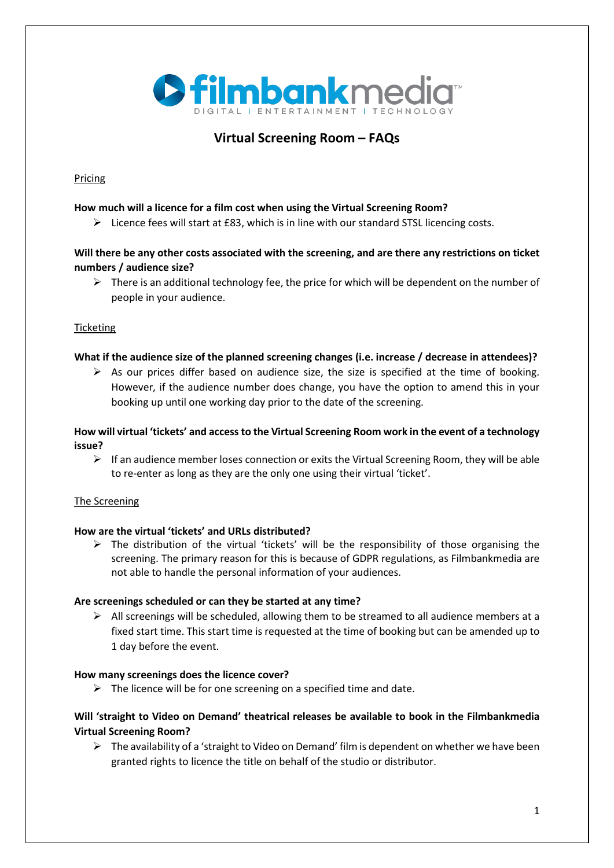

# **Virtual Screening Room – FAQs**

## Pricing

## **How much will a licence for a film cost when using the Virtual Screening Room?**

 $\triangleright$  Licence fees will start at £83, which is in line with our standard STSL licencing costs.

## **Will there be any other costs associated with the screening, and are there any restrictions on ticket numbers / audience size?**

 $\triangleright$  There is an additional technology fee, the price for which will be dependent on the number of people in your audience.

## **Ticketing**

## **What if the audience size of the planned screening changes (i.e. increase / decrease in attendees)?**

 $\triangleright$  As our prices differ based on audience size, the size is specified at the time of booking. However, if the audience number does change, you have the option to amend this in your booking up until one working day prior to the date of the screening.

## **How will virtual 'tickets' and access to the Virtual Screening Room work in the event of a technology issue?**

 $\triangleright$  If an audience member loses connection or exits the Virtual Screening Room, they will be able to re-enter as long as they are the only one using their virtual 'ticket'.

## The Screening

## **How are the virtual 'tickets' and URLs distributed?**

 $\triangleright$  The distribution of the virtual 'tickets' will be the responsibility of those organising the screening. The primary reason for this is because of GDPR regulations, as Filmbankmedia are not able to handle the personal information of your audiences.

#### **Are screenings scheduled or can they be started at any time?**

 $\triangleright$  All screenings will be scheduled, allowing them to be streamed to all audience members at a fixed start time. This start time is requested at the time of booking but can be amended up to 1 day before the event.

#### **How many screenings does the licence cover?**

 $\triangleright$  The licence will be for one screening on a specified time and date.

## **Will 'straight to Video on Demand' theatrical releases be available to book in the Filmbankmedia Virtual Screening Room?**

 $\triangleright$  The availability of a 'straight to Video on Demand' film is dependent on whether we have been granted rights to licence the title on behalf of the studio or distributor.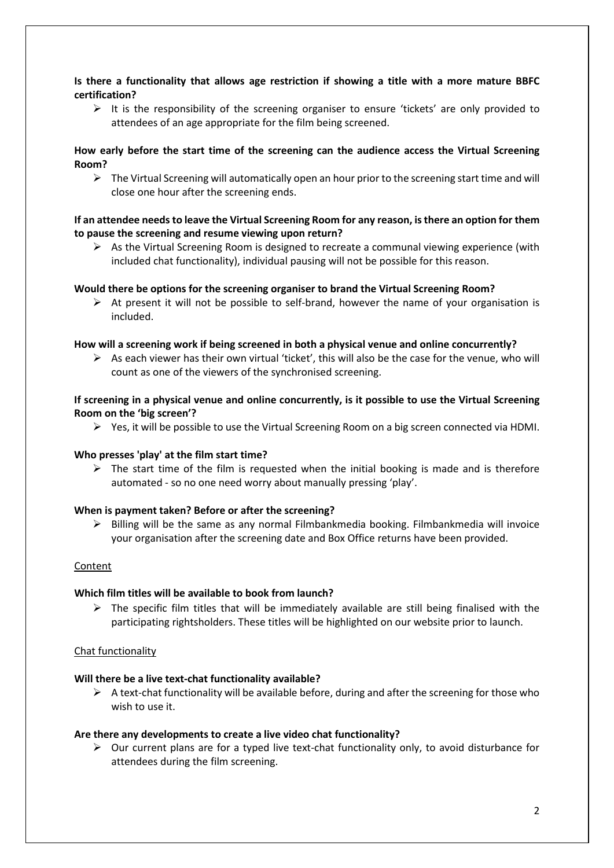## **Is there a functionality that allows age restriction if showing a title with a more mature BBFC certification?**

 $\triangleright$  It is the responsibility of the screening organiser to ensure 'tickets' are only provided to attendees of an age appropriate for the film being screened.

## **How early before the start time of the screening can the audience access the Virtual Screening Room?**

 $\triangleright$  The Virtual Screening will automatically open an hour prior to the screening start time and will close one hour after the screening ends.

#### **If an attendee needs to leave the Virtual Screening Room for any reason, is there an option for them to pause the screening and resume viewing upon return?**

 $\triangleright$  As the Virtual Screening Room is designed to recreate a communal viewing experience (with included chat functionality), individual pausing will not be possible for this reason.

#### **Would there be options for the screening organiser to brand the Virtual Screening Room?**

 $\triangleright$  At present it will not be possible to self-brand, however the name of your organisation is included.

#### **How will a screening work if being screened in both a physical venue and online concurrently?**

 $\triangleright$  As each viewer has their own virtual 'ticket', this will also be the case for the venue, who will count as one of the viewers of the synchronised screening.

#### **If screening in a physical venue and online concurrently, is it possible to use the Virtual Screening Room on the 'big screen'?**

 $\triangleright$  Yes, it will be possible to use the Virtual Screening Room on a big screen connected via HDMI.

#### **Who presses 'play' at the film start time?**

 $\triangleright$  The start time of the film is requested when the initial booking is made and is therefore automated - so no one need worry about manually pressing 'play'.

#### **When is payment taken? Before or after the screening?**

 $\triangleright$  Billing will be the same as any normal Filmbankmedia booking. Filmbankmedia will invoice your organisation after the screening date and Box Office returns have been provided.

#### Content

#### **Which film titles will be available to book from launch?**

 $\triangleright$  The specific film titles that will be immediately available are still being finalised with the participating rightsholders. These titles will be highlighted on our website prior to launch.

#### Chat functionality

#### **Will there be a live text-chat functionality available?**

 $\triangleright$  A text-chat functionality will be available before, during and after the screening for those who wish to use it.

#### **Are there any developments to create a live video chat functionality?**

 $\triangleright$  Our current plans are for a typed live text-chat functionality only, to avoid disturbance for attendees during the film screening.